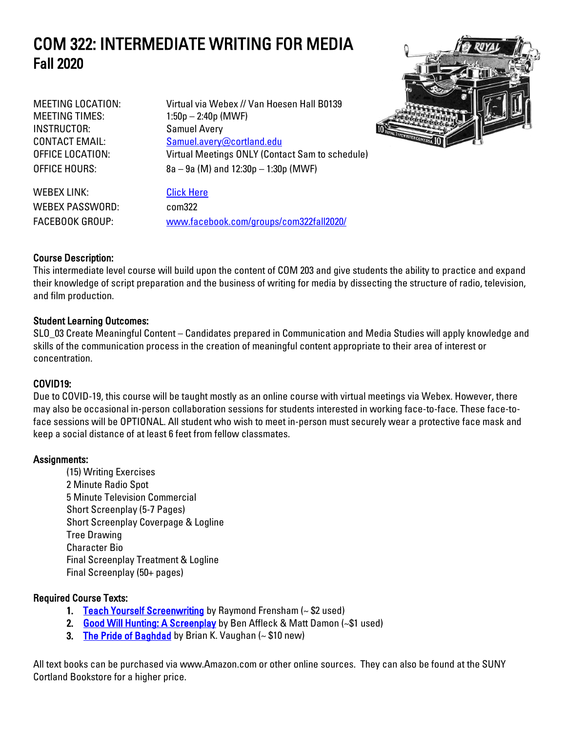# COM 322: INTERMEDIATE WRITING FOR MEDIA Fall 2020

MEETING TIMES: 1:50p – 2:40p (MWF) INSTRUCTOR: Samuel Avery

MEETING LOCATION: Virtual via Webex // Van Hoesen Hall B0139 CONTACT EMAIL: Samuel.avery@cortland.edu OFFICE LOCATION: Virtual Meetings ONLY (Contact Sam to schedule) OFFICE HOURS: 8a – 9a (M) and 12:30p – 1:30p (MWF)



WEBEX LINK: [Click Here](https://sunycortland.webex.com/sunycortland/j.php?MTID=m17aca21f78f1a26cc4e0fecc32c87702) WEBEX PASSWORD: com322 FACEBOOK GROUP: [www.facebook.com/groups/com322fall2020/](http://www.facebook.com/groups/com322fall2020/)

### Course Description:

This intermediate level course will build upon the content of COM 203 and give students the ability to practice and expand their knowledge of script preparation and the business of writing for media by dissecting the structure of radio, television, and film production.

#### Student Learning Outcomes:

SLO\_03 Create Meaningful Content – Candidates prepared in Communication and Media Studies will apply knowledge and skills of the communication process in the creation of meaningful content appropriate to their area of interest or concentration.

### COVID19:

Due to COVID-19, this course will be taught mostly as an online course with virtual meetings via Webex. However, there may also be occasional in-person collaboration sessions for students interested in working face-to-face. These face-toface sessions will be OPTIONAL. All student who wish to meet in-person must securely wear a protective face mask and keep a social distance of at least 6 feet from fellow classmates.

#### Assignments:

(15) Writing Exercises 2 Minute Radio Spot 5 Minute Television Commercial Short Screenplay (5-7 Pages) Short Screenplay Coverpage & Logline Tree Drawing Character Bio Final Screenplay Treatment & Logline Final Screenplay (50+ pages)

#### Required Course Texts:

- 1. [Teach Yourself Screenwriting](https://www.amazon.com/Teach-Yourself-Screenwriting-Ray-Frensham/dp/0071419667) by Raymond Frensham (~ \$2 used)
- 2. [Good Will Hunting: A Screenplay](https://www.amazon.com/Good-Will-Hunting-Ben-Affleck/dp/0786883448) by Ben Affleck & Matt Damon (~\$1 used)
- 3. [The Pride of Baghdad](https://www.amazon.com/Pride-Baghdad-Brian-K-Vaughan/dp/1401203159) by Brian K. Vaughan  $(-\$10 new)$

All text books can be purchased via www.Amazon.com or other online sources. They can also be found at the SUNY Cortland Bookstore for a higher price.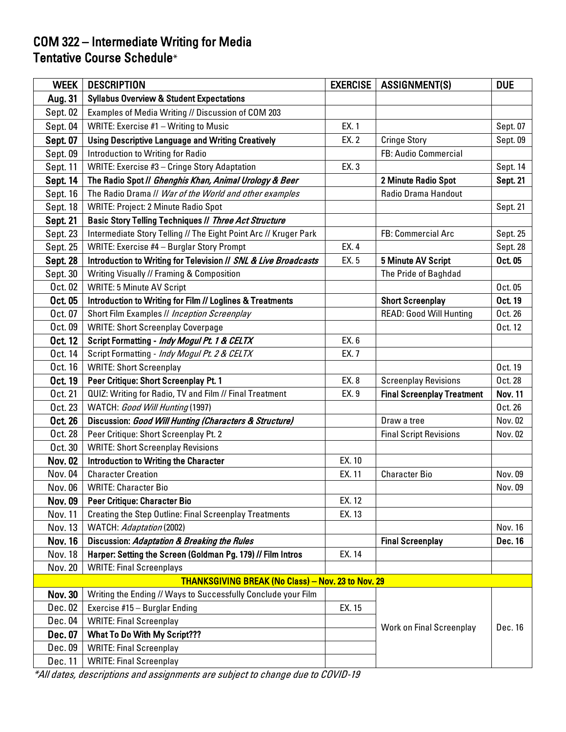## COM 322 – Intermediate Writing for Media Tentative Course Schedule\*

| <b>WEEK</b>     | <b>DESCRIPTION</b>                                               | <b>EXERCISE</b> | <b>ASSIGNMENT(S)</b>              | <b>DUE</b>      |
|-----------------|------------------------------------------------------------------|-----------------|-----------------------------------|-----------------|
| Aug. 31         | <b>Syllabus Overview &amp; Student Expectations</b>              |                 |                                   |                 |
| Sept. 02        | Examples of Media Writing // Discussion of COM 203               |                 |                                   |                 |
| Sept. 04        | WRITE: Exercise #1 - Writing to Music                            | EX. 1           |                                   | Sept. 07        |
| Sept. 07        | <b>Using Descriptive Language and Writing Creatively</b>         | EX. 2           | <b>Cringe Story</b>               | Sept. 09        |
| Sept. 09        | Introduction to Writing for Radio                                |                 | FB: Audio Commercial              |                 |
| Sept. 11        | WRITE: Exercise #3 - Cringe Story Adaptation                     | EX. 3           |                                   | Sept. 14        |
| Sept. 14        | The Radio Spot // Ghenghis Khan, Animal Urology & Beer           |                 | 2 Minute Radio Spot               | <b>Sept. 21</b> |
| Sept. 16        | The Radio Drama // War of the World and other examples           |                 | Radio Drama Handout               |                 |
| Sept. 18        | <b>WRITE: Project: 2 Minute Radio Spot</b>                       |                 |                                   | Sept. 21        |
| <b>Sept. 21</b> | Basic Story Telling Techniques // Three Act Structure            |                 |                                   |                 |
| Sept. 23        | Intermediate Story Telling // The Eight Point Arc // Kruger Park |                 | FB: Commercial Arc                | Sept. 25        |
| Sept. 25        | WRITE: Exercise #4 - Burglar Story Prompt                        | EX. 4           |                                   | Sept. 28        |
| Sept. 28        | Introduction to Writing for Television // SNL & Live Broadcasts  | EX. 5           | <b>5 Minute AV Script</b>         | Oct. 05         |
| Sept. 30        | Writing Visually // Framing & Composition                        |                 | The Pride of Baghdad              |                 |
| Oct. 02         | <b>WRITE: 5 Minute AV Script</b>                                 |                 |                                   | Oct. 05         |
| Oct. 05         | Introduction to Writing for Film // Loglines & Treatments        |                 | <b>Short Screenplay</b>           | Oct. 19         |
| Oct. 07         | Short Film Examples // Inception Screenplay                      |                 | <b>READ: Good Will Hunting</b>    | Oct. 26         |
| Oct. 09         | <b>WRITE: Short Screenplay Coverpage</b>                         |                 |                                   | Oct. 12         |
| Oct. 12         | Script Formatting - Indy Mogul Pt. 1 & CELTX                     | EX. 6           |                                   |                 |
| Oct. 14         | Script Formatting - Indy Mogul Pt. 2 & CELTX                     | EX. 7           |                                   |                 |
| Oct. 16         | <b>WRITE: Short Screenplay</b>                                   |                 |                                   | Oct. 19         |
| Oct. 19         | Peer Critique: Short Screenplay Pt. 1                            | EX. 8           | <b>Screenplay Revisions</b>       | Oct. 28         |
| Oct. 21         | QUIZ: Writing for Radio, TV and Film // Final Treatment          | EX. 9           | <b>Final Screenplay Treatment</b> | <b>Nov. 11</b>  |
| Oct. 23         | WATCH: Good Will Hunting (1997)                                  |                 |                                   | Oct. 26         |
| Oct. 26         | Discussion: Good Will Hunting (Characters & Structure)           |                 | Draw a tree                       | Nov. 02         |
| Oct. 28         | Peer Critique: Short Screenplay Pt. 2                            |                 | <b>Final Script Revisions</b>     | Nov. 02         |
| Oct. 30         | <b>WRITE: Short Screenplay Revisions</b>                         |                 |                                   |                 |
| <b>Nov. 02</b>  | <b>Introduction to Writing the Character</b>                     | EX. 10          |                                   |                 |
| Nov. 04         | <b>Character Creation</b>                                        | EX. 11          | <b>Character Bio</b>              | Nov. 09         |
| Nov. 06         | <b>WRITE: Character Bio</b>                                      |                 |                                   | Nov. 09         |
| <b>Nov. 09</b>  | Peer Critique: Character Bio                                     | EX. 12          |                                   |                 |
| <b>Nov. 11</b>  | <b>Creating the Step Outline: Final Screenplay Treatments</b>    | EX. 13          |                                   |                 |
| Nov. 13         | WATCH: Adaptation (2002)                                         |                 |                                   | Nov. 16         |
| <b>Nov. 16</b>  | Discussion: Adaptation & Breaking the Rules                      |                 | <b>Final Screenplay</b>           | Dec. 16         |
| Nov. 18         | Harper: Setting the Screen (Goldman Pg. 179) // Film Intros      | EX. 14          |                                   |                 |
| Nov. 20         | <b>WRITE: Final Screenplays</b>                                  |                 |                                   |                 |
|                 | <b>THANKSGIVING BREAK (No Class) - Nov. 23 to Nov. 29</b>        |                 |                                   |                 |
| <b>Nov. 30</b>  | Writing the Ending // Ways to Successfully Conclude your Film    |                 |                                   |                 |
| Dec. 02         | Exercise #15 - Burglar Ending                                    | EX. 15          |                                   |                 |
| Dec. 04         | <b>WRITE: Final Screenplay</b>                                   |                 | <b>Work on Final Screenplay</b>   | Dec. 16         |
| Dec. 07         | What To Do With My Script???                                     |                 |                                   |                 |
| Dec. 09         | <b>WRITE: Final Screenplay</b>                                   |                 |                                   |                 |
| Dec. 11         | <b>WRITE: Final Screenplay</b>                                   |                 |                                   |                 |

\*All dates, descriptions and assignments are subject to change due to COVID-19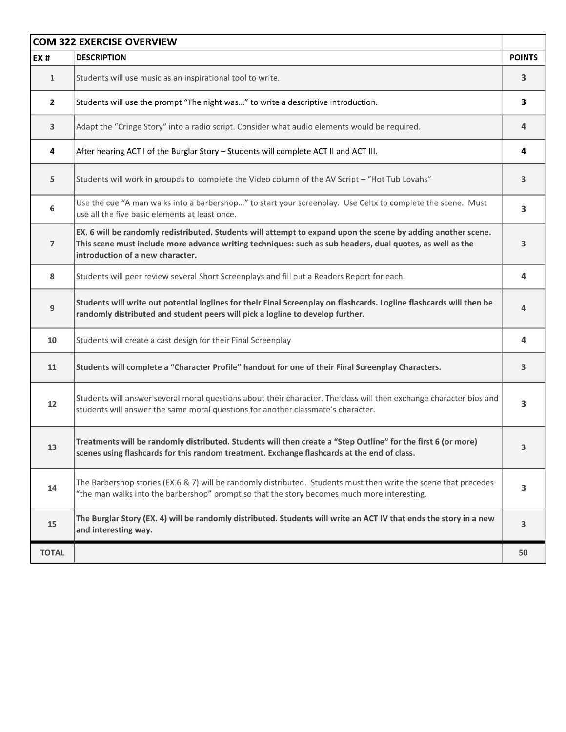| <b>COM 322 EXERCISE OVERVIEW</b> |                                                                                                                                                                                                                                                                |               |  |
|----------------------------------|----------------------------------------------------------------------------------------------------------------------------------------------------------------------------------------------------------------------------------------------------------------|---------------|--|
| EX#                              | <b>DESCRIPTION</b>                                                                                                                                                                                                                                             | <b>POINTS</b> |  |
| $\mathbf 1$                      | Students will use music as an inspirational tool to write.                                                                                                                                                                                                     | 3             |  |
| $\mathbf{z}$                     | Students will use the prompt "The night was" to write a descriptive introduction.                                                                                                                                                                              | 3             |  |
| 3                                | Adapt the "Cringe Story" into a radio script. Consider what audio elements would be required.                                                                                                                                                                  | 4             |  |
| 4                                | After hearing ACT I of the Burglar Story - Students will complete ACT II and ACT III.                                                                                                                                                                          | 4             |  |
| 5                                | Students will work in groupds to complete the Video column of the AV Script - "Hot Tub Lovahs"                                                                                                                                                                 | 3             |  |
| 6                                | Use the cue "A man walks into a barbershop" to start your screenplay. Use Celtx to complete the scene. Must<br>use all the five basic elements at least once.                                                                                                  | з             |  |
| $\overline{7}$                   | EX. 6 will be randomly redistributed. Students will attempt to expand upon the scene by adding another scene.<br>This scene must include more advance writing techniques: such as sub headers, dual quotes, as well as the<br>introduction of a new character. | 3             |  |
| 8                                | Students will peer review several Short Screenplays and fill out a Readers Report for each.                                                                                                                                                                    | 4             |  |
| 9                                | Students will write out potential loglines for their Final Screenplay on flashcards. Logline flashcards will then be<br>randomly distributed and student peers will pick a logline to develop further.                                                         | 4             |  |
| 10                               | Students will create a cast design for their Final Screenplay                                                                                                                                                                                                  | 4             |  |
| 11                               | Students will complete a "Character Profile" handout for one of their Final Screenplay Characters.                                                                                                                                                             | 3             |  |
| 12                               | Students will answer several moral questions about their character. The class will then exchange character bios and<br>students will answer the same moral questions for another classmate's character.                                                        | 3             |  |
| 13                               | Treatments will be randomly distributed. Students will then create a "Step Outline" for the first 6 (or more)<br>scenes using flashcards for this random treatment. Exchange flashcards at the end of class.                                                   | 3             |  |
| 14                               | The Barbershop stories (EX.6 & 7) will be randomly distributed. Students must then write the scene that precedes<br>"the man walks into the barbershop" prompt so that the story becomes much more interesting.                                                | 3             |  |
| 15                               | The Burglar Story (EX. 4) will be randomly distributed. Students will write an ACT IV that ends the story in a new<br>and interesting way.                                                                                                                     | 3             |  |
| <b>TOTAL</b>                     |                                                                                                                                                                                                                                                                | 50            |  |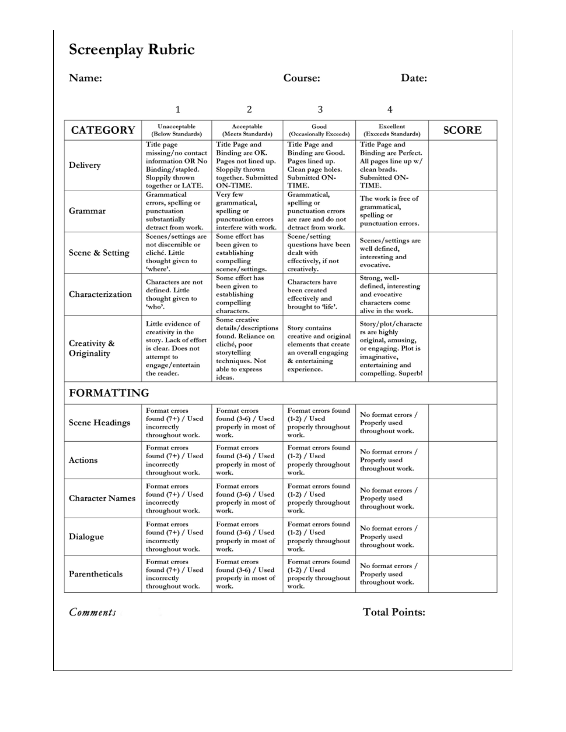# Screenplay Rubric

| Name:                       |                                                                                                                                         |                                                                                                                                             | Course:                                                                                                                 | Date:                                                                                                                                         |              |
|-----------------------------|-----------------------------------------------------------------------------------------------------------------------------------------|---------------------------------------------------------------------------------------------------------------------------------------------|-------------------------------------------------------------------------------------------------------------------------|-----------------------------------------------------------------------------------------------------------------------------------------------|--------------|
|                             | 1                                                                                                                                       | 2                                                                                                                                           | 3                                                                                                                       | 4                                                                                                                                             |              |
| <b>CATEGORY</b>             | Unacceptable<br>(Below Standards)                                                                                                       | Acceptable<br>(Meets Standards)                                                                                                             | Good<br>(Occasionally Exceeds)                                                                                          | Excellent<br>(Exceeds Standards)                                                                                                              | <b>SCORE</b> |
| Delivery                    | Title page<br>missing/no contact<br>information OR No<br>Binding/stapled.<br>Sloppily thrown<br>together or LATE.                       | Title Page and<br>Binding are OK.<br>Pages not lined up.<br>Sloppily thrown<br>together. Submitted<br>ON-TIME.                              | Title Page and<br>Binding are Good.<br>Pages lined up.<br>Clean page holes.<br>Submitted ON-<br>TIME.                   | Title Page and<br>Binding are Perfect.<br>All pages line up w/<br>clean brads.<br>Submitted ON-<br>TIME.                                      |              |
| Grammar                     | Grammatical<br>errors, spelling or<br>punctuation<br>substantially<br>detract from work.                                                | Very few<br>grammatical,<br>spelling or<br>punctuation errors<br>interfere with work.                                                       | Grammatical,<br>spelling or<br>punctuation errors<br>are rare and do not<br>detract from work.                          | The work is free of<br>grammatical,<br>spelling or<br>punctuation errors.                                                                     |              |
| Scene & Setting             | Scenes/settings are<br>not discernible or<br>cliché. Little<br>thought given to<br>'where'.                                             | Some effort has<br>been given to<br>establishing<br>compelling<br>scenes/settings.                                                          | Scene/setting<br>questions have been<br>dealt with<br>effectively, if not<br>creatively.                                | Scenes/settings are<br>well defined,<br>interesting and<br>evocative.                                                                         |              |
| Characterization            | Characters are not<br>defined. Little<br>thought given to<br>'who'.                                                                     | Some effort has<br>been given to<br>establishing<br>compelling<br>characters.                                                               | <b>Characters</b> have<br>been created<br>effectively and<br>brought to 'life'.                                         | Strong, well-<br>defined, interesting<br>and evocative<br>characters come<br>alive in the work.                                               |              |
| Creativity &<br>Originality | Little evidence of<br>creativity in the<br>story. Lack of effort<br>is clear. Does not<br>attempt to<br>engage/entertain<br>the reader. | Some creative<br>details/descriptions<br>found. Reliance on<br>cliché, poor<br>storytelling<br>techniques. Not<br>able to express<br>ideas. | Story contains<br>creative and original<br>elements that create<br>an overall engaging<br>& entertaining<br>experience. | Story/plot/characte<br>rs are highly<br>original, amusing,<br>or engaging. Plot is<br>imaginative,<br>entertaining and<br>compelling. Superb! |              |
| <b>FORMATTING</b>           |                                                                                                                                         |                                                                                                                                             |                                                                                                                         |                                                                                                                                               |              |
| <b>Scene Headings</b>       | Format errors<br>found $(7+)$ / Used<br>incorrectly<br>throughout work.                                                                 | Format errors<br>found (3-6) / Used<br>properly in most of<br>work.                                                                         | Format errors found<br>$(1-2)$ / Used<br>properly throughout<br>work.                                                   | No format errors /<br>Properly used<br>throughout work.                                                                                       |              |
| Actions                     | Format errors<br>found $(7+)$ / Used<br>incorrectly<br>throughout work.                                                                 | Format errors<br>found $(3-6)$ / Used<br>properly in most of<br>work.                                                                       | Format errors found<br>$(1-2)$ / Used<br>properly throughout<br>work.                                                   | No format errors /<br>Properly used<br>throughout work.                                                                                       |              |
| <b>Character Names</b>      | Format errors<br>found $(7+)$ / Used<br>incorrectly<br>throughout work.                                                                 | Format errors<br>found $(3-6)$ / Used<br>properly in most of<br>work.                                                                       | Format errors found<br>$(1-2)$ / Used<br>properly throughout<br>work.                                                   | No format errors /<br>Properly used<br>throughout work.                                                                                       |              |
| Dialogue                    | Format errors<br>found $(7+)$ / Used<br>incorrectly<br>throughout work.                                                                 | Format errors<br>found $(3-6)$ / Used<br>properly in most of<br>work.                                                                       | Format errors found<br>$(1-2)$ / Used<br>properly throughout<br>work.                                                   | No format errors /<br>Properly used<br>throughout work.                                                                                       |              |
| Parentheticals              | Format errors<br>found $(7+)$ / Used<br>incorrectly<br>throughout work.                                                                 | Format errors<br>found (3-6) / Used<br>properly in most of<br>work.                                                                         | Format errors found<br>$(1-2)$ / Used<br>properly throughout<br>work.                                                   | No format errors /<br>Properly used<br>throughout work.                                                                                       |              |

Comments

**Total Points:**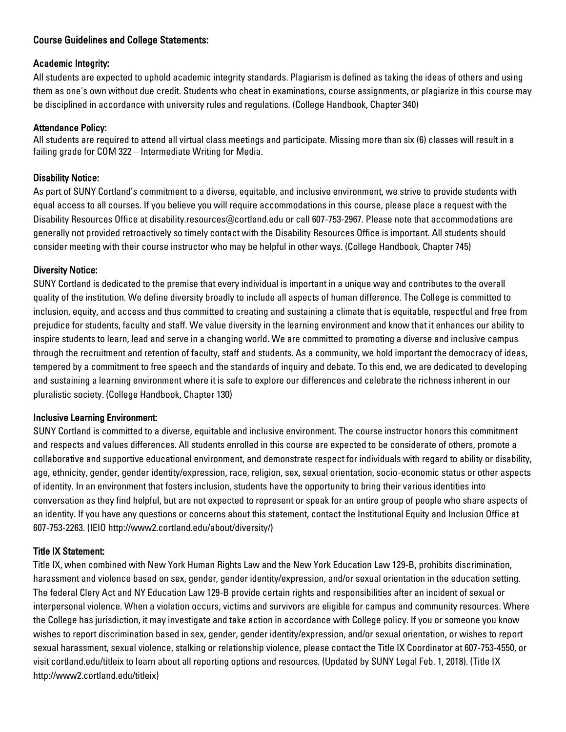#### Course Guidelines and College Statements:

#### Academic Integrity:

All students are expected to uphold academic integrity standards. Plagiarism is defined as taking the ideas of others and using them as one's own without due credit. Students who cheat in examinations, course assignments, or plagiarize in this course may be disciplined in accordance with university rules and regulations. (College Handbook, Chapter 340)

#### Attendance Policy:

All students are required to attend all virtual class meetings and participate. Missing more than six (6) classes will result in a failing grade for COM 322 – Intermediate Writing for Media.

#### Disability Notice:

As part of SUNY Cortland's commitment to a diverse, equitable, and inclusive environment, we strive to provide students with equal access to all courses. If you believe you will require accommodations in this course, please place a request with the Disability Resources Office at disability.resources@cortland.edu or call 607-753-2967. Please note that accommodations are generally not provided retroactively so timely contact with the Disability Resources Office is important. All students should consider meeting with their course instructor who may be helpful in other ways. (College Handbook, Chapter 745)

#### Diversity Notice:

SUNY Cortland is dedicated to the premise that every individual is important in a unique way and contributes to the overall quality of the institution. We define diversity broadly to include all aspects of human difference. The College is committed to inclusion, equity, and access and thus committed to creating and sustaining a climate that is equitable, respectful and free from prejudice for students, faculty and staff. We value diversity in the learning environment and know that it enhances our ability to inspire students to learn, lead and serve in a changing world. We are committed to promoting a diverse and inclusive campus through the recruitment and retention of faculty, staff and students. As a community, we hold important the democracy of ideas, tempered by a commitment to free speech and the standards of inquiry and debate. To this end, we are dedicated to developing and sustaining a learning environment where it is safe to explore our differences and celebrate the richness inherent in our pluralistic society. (College Handbook, Chapter 130)

#### Inclusive Learning Environment:

SUNY Cortland is committed to a diverse, equitable and inclusive environment. The course instructor honors this commitment and respects and values differences. All students enrolled in this course are expected to be considerate of others, promote a collaborative and supportive educational environment, and demonstrate respect for individuals with regard to ability or disability, age, ethnicity, gender, gender identity/expression, race, religion, sex, sexual orientation, socio-economic status or other aspects of identity. In an environment that fosters inclusion, students have the opportunity to bring their various identities into conversation as they find helpful, but are not expected to represent or speak for an entire group of people who share aspects of an identity. If you have any questions or concerns about this statement, contact the Institutional Equity and Inclusion Office at 607-753-2263. (IEIO http://www2.cortland.edu/about/diversity/)

#### Title IX Statement:

Title IX, when combined with New York Human Rights Law and the New York Education Law 129-B, prohibits discrimination, harassment and violence based on sex, gender, gender identity/expression, and/or sexual orientation in the education setting. The federal Clery Act and NY Education Law 129-B provide certain rights and responsibilities after an incident of sexual or interpersonal violence. When a violation occurs, victims and survivors are eligible for campus and community resources. Where the College has jurisdiction, it may investigate and take action in accordance with College policy. If you or someone you know wishes to report discrimination based in sex, gender, gender identity/expression, and/or sexual orientation, or wishes to report sexual harassment, sexual violence, stalking or relationship violence, please contact the Title IX Coordinator at 607-753-4550, or visit cortland.edu/titleix to learn about all reporting options and resources. (Updated by SUNY Legal Feb. 1, 2018). (Title IX http://www2.cortland.edu/titleix)